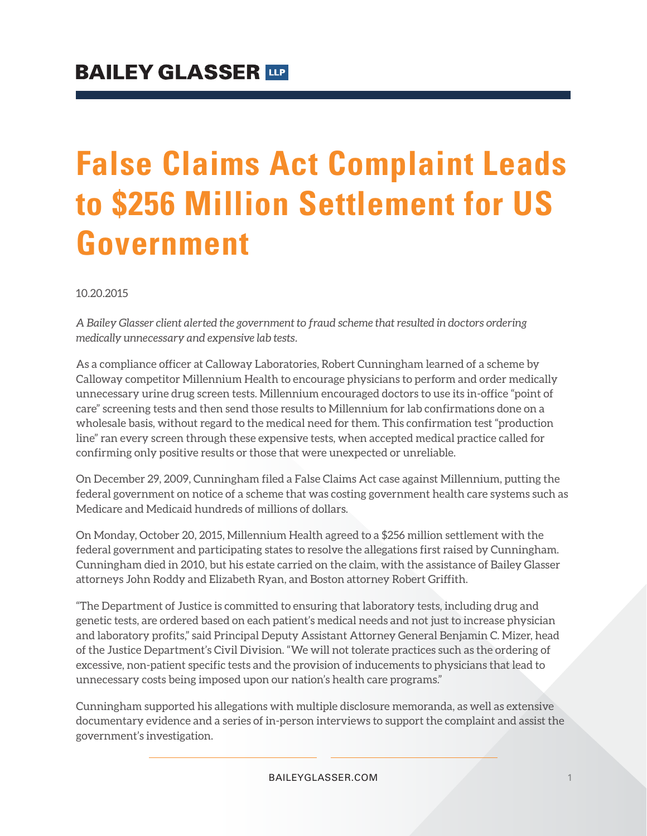## **False Claims Act Complaint Leads to \$256 Million Settlement for US Government**

10.20.2015

*A Bailey Glasser client alerted the government to fraud scheme that resulted in doctors ordering medically unnecessary and expensive lab tests.*

As a compliance officer at Calloway Laboratories, Robert Cunningham learned of a scheme by Calloway competitor Millennium Health to encourage physicians to perform and order medically unnecessary urine drug screen tests. Millennium encouraged doctors to use its in-office "point of care" screening tests and then send those results to Millennium for lab confirmations done on a wholesale basis, without regard to the medical need for them. This confirmation test "production line" ran every screen through these expensive tests, when accepted medical practice called for confirming only positive results or those that were unexpected or unreliable.

On December 29, 2009, Cunningham filed a False Claims Act case against Millennium, putting the federal government on notice of a scheme that was costing government health care systems such as Medicare and Medicaid hundreds of millions of dollars.

On Monday, October 20, 2015, Millennium Health agreed to a \$256 million settlement with the federal government and participating states to resolve the allegations first raised by Cunningham. Cunningham died in 2010, but his estate carried on the claim, with the assistance of Bailey Glasser attorneys John Roddy and Elizabeth Ryan, and Boston attorney Robert Griffith.

"The Department of Justice is committed to ensuring that laboratory tests, including drug and genetic tests, are ordered based on each patient's medical needs and not just to increase physician and laboratory profits," said Principal Deputy Assistant Attorney General Benjamin C. Mizer, head of the Justice Department's Civil Division. "We will not tolerate practices such as the ordering of excessive, non-patient specific tests and the provision of inducements to physicians that lead to unnecessary costs being imposed upon our nation's health care programs."

Cunningham supported his allegations with multiple disclosure memoranda, as well as extensive documentary evidence and a series of in-person interviews to support the complaint and assist the government's investigation.